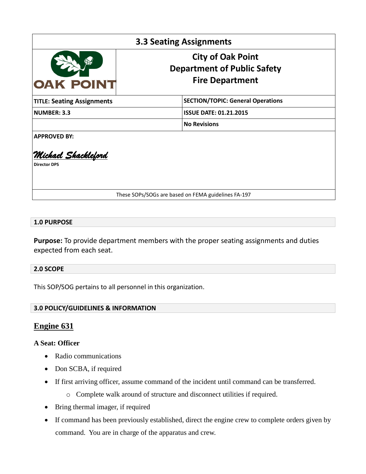| <b>3.3 Seating Assignments</b>             |                                                                                          |
|--------------------------------------------|------------------------------------------------------------------------------------------|
| OAK POINT                                  | <b>City of Oak Point</b><br><b>Department of Public Safety</b><br><b>Fire Department</b> |
| <b>TITLE: Seating Assignments</b>          | <b>SECTION/TOPIC: General Operations</b>                                                 |
| <b>NUMBER: 3.3</b>                         | <b>ISSUE DATE: 01.21.2015</b>                                                            |
|                                            | <b>No Revisions</b>                                                                      |
| <b>APPROVED BY:</b>                        |                                                                                          |
| Michael Shackleford<br><b>Director DPS</b> |                                                                                          |
|                                            | These SOPs/SOGs are based on FEMA guidelines FA-197                                      |

#### **1.0 PURPOSE**

**Purpose:** To provide department members with the proper seating assignments and duties expected from each seat.

#### **2.0 SCOPE**

This SOP/SOG pertains to all personnel in this organization.

#### **3.0 POLICY/GUIDELINES & INFORMATION**

# **Engine 631**

#### **A Seat: Officer**

- Radio communications
- Don SCBA, if required
- If first arriving officer, assume command of the incident until command can be transferred.
	- o Complete walk around of structure and disconnect utilities if required.
- Bring thermal imager, if required
- If command has been previously established, direct the engine crew to complete orders given by command. You are in charge of the apparatus and crew.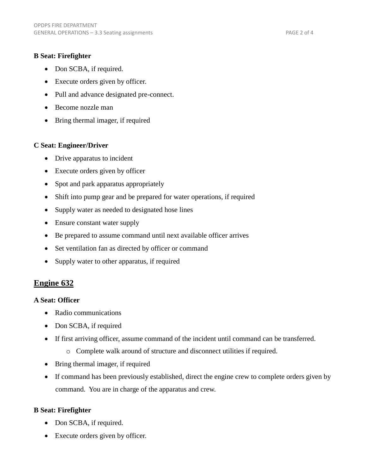#### **B Seat: Firefighter**

- Don SCBA, if required.
- Execute orders given by officer.
- Pull and advance designated pre-connect.
- Become nozzle man
- Bring thermal imager, if required

#### **C Seat: Engineer/Driver**

- Drive apparatus to incident
- Execute orders given by officer
- Spot and park apparatus appropriately
- Shift into pump gear and be prepared for water operations, if required
- Supply water as needed to designated hose lines
- Ensure constant water supply
- Be prepared to assume command until next available officer arrives
- Set ventilation fan as directed by officer or command
- Supply water to other apparatus, if required

# **Engine 632**

## **A Seat: Officer**

- Radio communications
- Don SCBA, if required
- If first arriving officer, assume command of the incident until command can be transferred.
	- o Complete walk around of structure and disconnect utilities if required.
- Bring thermal imager, if required
- If command has been previously established, direct the engine crew to complete orders given by command. You are in charge of the apparatus and crew.

## **B Seat: Firefighter**

- Don SCBA, if required.
- Execute orders given by officer.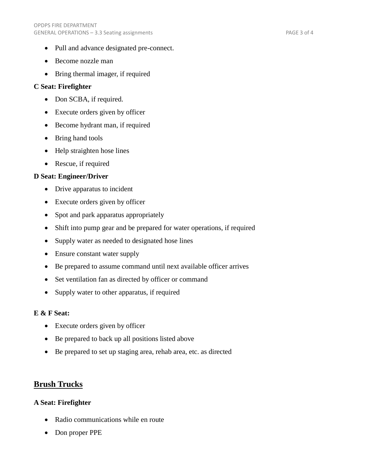- Pull and advance designated pre-connect.
- Become nozzle man
- Bring thermal imager, if required

## **C Seat: Firefighter**

- Don SCBA, if required.
- Execute orders given by officer
- Become hydrant man, if required
- Bring hand tools
- Help straighten hose lines
- Rescue, if required

## **D Seat: Engineer/Driver**

- Drive apparatus to incident
- Execute orders given by officer
- Spot and park apparatus appropriately
- Shift into pump gear and be prepared for water operations, if required
- Supply water as needed to designated hose lines
- Ensure constant water supply
- Be prepared to assume command until next available officer arrives
- Set ventilation fan as directed by officer or command
- Supply water to other apparatus, if required

## **E & F Seat:**

- Execute orders given by officer
- Be prepared to back up all positions listed above
- Be prepared to set up staging area, rehab area, etc. as directed

# **Brush Trucks**

## **A Seat: Firefighter**

- Radio communications while en route
- Don proper PPE